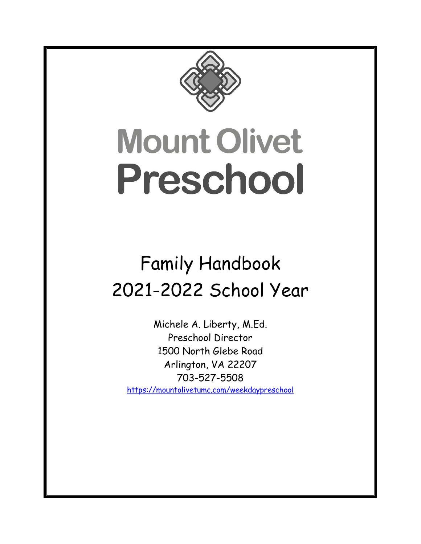

# **Mount Olivet** Preschool

# Family Handbook 2021-2022 School Year

Michele A. Liberty, M.Ed. Preschool Director 1500 North Glebe Road Arlington, VA 22207 703-527-5508 <https://mountolivetumc.com/weekdaypreschool>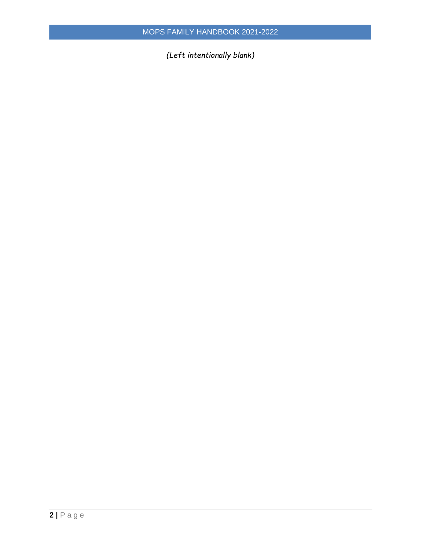#### MOPS FAMILY HANDBOOK 2021-2022

*(Left intentionally blank)*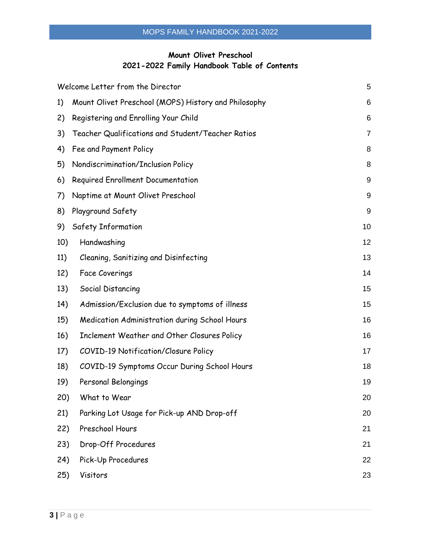#### **Mount Olivet Preschool 2021-2022 Family Handbook Table of Contents**

|     | Welcome Letter from the Director                     | 5              |
|-----|------------------------------------------------------|----------------|
| 1)  | Mount Olivet Preschool (MOPS) History and Philosophy | 6              |
| 2)  | Registering and Enrolling Your Child                 | 6              |
| 3)  | Teacher Qualifications and Student/Teacher Ratios    | $\overline{7}$ |
| 4)  | Fee and Payment Policy                               | 8              |
| 5)  | Nondiscrimination/Inclusion Policy                   | 8              |
| 6)  | <b>Required Enrollment Documentation</b>             | $9\,$          |
| 7)  | Naptime at Mount Olivet Preschool                    | 9              |
| 8)  | Playground Safety                                    | 9              |
| 9)  | Safety Information                                   | 10             |
| 10) | Handwashing                                          | 12             |
| 11) | Cleaning, Sanitizing and Disinfecting                | 13             |
| 12) | Face Coverings                                       | 14             |
| 13) | Social Distancing                                    | 15             |
| 14) | Admission/Exclusion due to symptoms of illness       | 15             |
| 15) | Medication Administration during School Hours        | 16             |
| 16) | Inclement Weather and Other Closures Policy          | 16             |
| 17) | COVID-19 Notification/Closure Policy                 | 17             |
| 18) | COVID-19 Symptoms Occur During School Hours          | 18             |
| 19) | Personal Belongings                                  | 19             |
| 20) | What to Wear                                         | 20             |
| 21) | Parking Lot Usage for Pick-up AND Drop-off           | 20             |
| 22) | Preschool Hours                                      | 21             |
| 23) | Drop-Off Procedures                                  | 21             |
| 24) | Pick-Up Procedures                                   | 22             |
| 25) | Visitors                                             | 23             |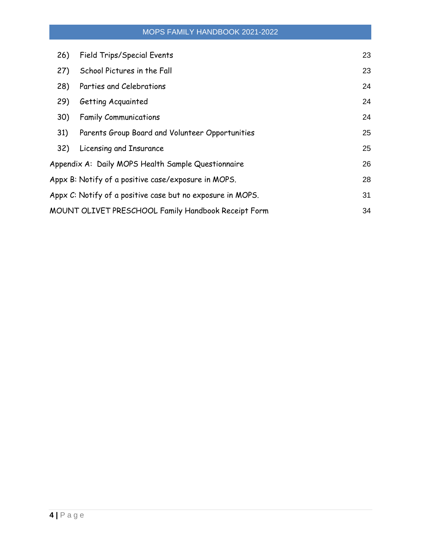#### MOPS FAMILY HANDBOOK 2021-2022

| 26)                                                              | <b>Field Trips/Special Events</b>               | 23 |
|------------------------------------------------------------------|-------------------------------------------------|----|
| (27)                                                             | School Pictures in the Fall                     | 23 |
| (28)                                                             | Parties and Celebrations                        | 24 |
| 29)                                                              | Getting Acquainted                              | 24 |
| 30)                                                              | <b>Family Communications</b>                    | 24 |
| 31)                                                              | Parents Group Board and Volunteer Opportunities | 25 |
| 32)                                                              | Licensing and Insurance                         | 25 |
| Appendix A: Daily MOPS Health Sample Questionnaire<br>26         |                                                 |    |
| Appx B: Notify of a positive case/exposure in MOPS.<br>28        |                                                 |    |
| Appx C: Notify of a positive case but no exposure in MOPS.<br>31 |                                                 |    |
| MOUNT OLIVET PRESCHOOL Family Handbook Receipt Form<br>34        |                                                 |    |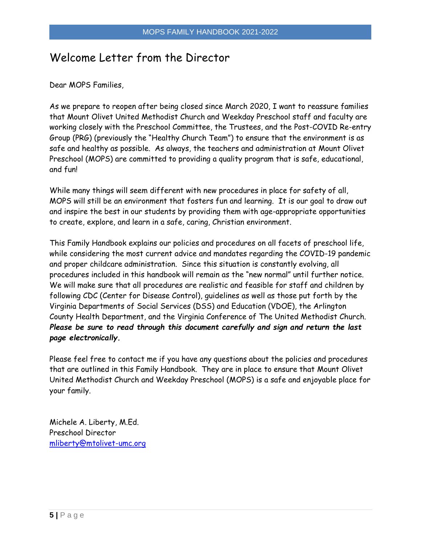#### <span id="page-4-0"></span>Welcome Letter from the Director

Dear MOPS Families,

As we prepare to reopen after being closed since March 2020, I want to reassure families that Mount Olivet United Methodist Church and Weekday Preschool staff and faculty are working closely with the Preschool Committee, the Trustees, and the Post-COVID Re-entry Group (PRG) (previously the "Healthy Church Team") to ensure that the environment is as safe and healthy as possible. As always, the teachers and administration at Mount Olivet Preschool (MOPS) are committed to providing a quality program that is safe, educational, and fun!

While many things will seem different with new procedures in place for safety of all, MOPS will still be an environment that fosters fun and learning. It is our goal to draw out and inspire the best in our students by providing them with age-appropriate opportunities to create, explore, and learn in a safe, caring, Christian environment.

This Family Handbook explains our policies and procedures on all facets of preschool life, while considering the most current advice and mandates regarding the COVID-19 pandemic and proper childcare administration. Since this situation is constantly evolving, all procedures included in this handbook will remain as the "new normal" until further notice. We will make sure that all procedures are realistic and feasible for staff and children by following CDC (Center for Disease Control), guidelines as well as those put forth by the Virginia Departments of Social Services (DSS) and Education (VDOE), the Arlington County Health Department, and the Virginia Conference of The United Methodist Church. *Please be sure to read through this document carefully and sign and return the last page electronically.*

Please feel free to contact me if you have any questions about the policies and procedures that are outlined in this Family Handbook. They are in place to ensure that Mount Olivet United Methodist Church and Weekday Preschool (MOPS) is a safe and enjoyable place for your family.

Michele A. Liberty, M.Ed. Preschool Director [mliberty@mtolivet-umc.org](mailto:mliberty@mtolivet-umc.org)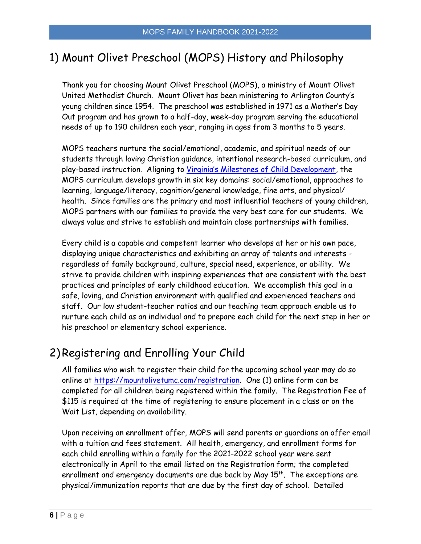### <span id="page-5-0"></span>1) Mount Olivet Preschool (MOPS) History and Philosophy

Thank you for choosing Mount Olivet Preschool (MOPS), a ministry of Mount Olivet United Methodist Church. Mount Olivet has been ministering to Arlington County's young children since 1954. The preschool was established in 1971 as a Mother's Day Out program and has grown to a half-day, week-day program serving the educational needs of up to 190 children each year, ranging in ages from 3 months to 5 years.

MOPS teachers nurture the social/emotional, academic, and spiritual needs of our students through loving Christian guidance, intentional research-based curriculum, and play-based instruction. Aligning to [Virginia's Milestones of Child Development](http://www.doe.virginia.gov/special_ed/early_childhood/child-development-health/index.shtml), the MOPS curriculum develops growth in six key domains: social/emotional, approaches to learning, language/literacy, cognition/general knowledge, fine arts, and physical/ health. Since families are the primary and most influential teachers of young children, MOPS partners with our families to provide the very best care for our students. We always value and strive to establish and maintain close partnerships with families.

Every child is a capable and competent learner who develops at her or his own pace, displaying unique characteristics and exhibiting an array of talents and interests regardless of family background, culture, special need, experience, or ability. We strive to provide children with inspiring experiences that are consistent with the best practices and principles of early childhood education. We accomplish this goal in a safe, loving, and Christian environment with qualified and experienced teachers and staff. Our low student-teacher ratios and our teaching team approach enable us to nurture each child as an individual and to prepare each child for the next step in her or his preschool or elementary school experience.

### <span id="page-5-1"></span>2)Registering and Enrolling Your Child

All families who wish to register their child for the upcoming school year may do so online at [https://mountolivetumc.com/registration.](https://mountolivetumc.com/registration) One (1) online form can be completed for all children being registered within the family. The Registration Fee of \$115 is required at the time of registering to ensure placement in a class or on the Wait List, depending on availability.

Upon receiving an enrollment offer, MOPS will send parents or guardians an offer email with a tuition and fees statement. All health, emergency, and enrollment forms for each child enrolling within a family for the 2021-2022 school year were sent electronically in April to the email listed on the Registration form; the completed enrollment and emergency documents are due back by May  $15<sup>th</sup>$ . The exceptions are physical/immunization reports that are due by the first day of school. Detailed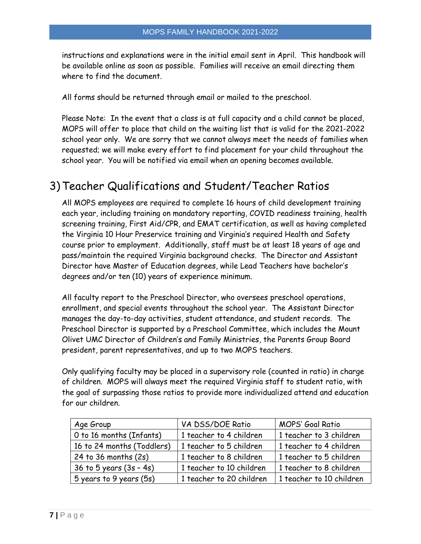instructions and explanations were in the initial email sent in April. This handbook will be available online as soon as possible. Families will receive an email directing them where to find the document.

All forms should be returned through email or mailed to the preschool.

Please Note: In the event that a class is at full capacity and a child cannot be placed, MOPS will offer to place that child on the waiting list that is valid for the 2021-2022 school year only. We are sorry that we cannot always meet the needs of families when requested; we will make every effort to find placement for your child throughout the school year. You will be notified via email when an opening becomes available.

#### <span id="page-6-0"></span>3)Teacher Qualifications and Student/Teacher Ratios

All MOPS employees are required to complete 16 hours of child development training each year, including training on mandatory reporting, COVID readiness training, health screening training, First Aid/CPR, and EMAT certification, as well as having completed the Virginia 10 Hour Preservice training and Virginia's required Health and Safety course prior to employment. Additionally, staff must be at least 18 years of age and pass/maintain the required Virginia background checks. The Director and Assistant Director have Master of Education degrees, while Lead Teachers have bachelor's degrees and/or ten (10) years of experience minimum.

All faculty report to the Preschool Director, who oversees preschool operations, enrollment, and special events throughout the school year. The Assistant Director manages the day-to-day activities, student attendance, and student records. The Preschool Director is supported by a Preschool Committee, which includes the Mount Olivet UMC Director of Children's and Family Ministries, the Parents Group Board president, parent representatives, and up to two MOPS teachers.

Only qualifying faculty may be placed in a supervisory role (counted in ratio) in charge of children. MOPS will always meet the required Virginia staff to student ratio, with the goal of surpassing those ratios to provide more individualized attend and education for our children.

| Age Group                  | VA DSS/DOE Ratio         | <b>MOPS' Goal Ratio</b>  |
|----------------------------|--------------------------|--------------------------|
| O to 16 months (Infants)   | 1 teacher to 4 children  | 1 teacher to 3 children  |
| 16 to 24 months (Toddlers) | 1 teacher to 5 children  | 1 teacher to 4 children  |
| $24$ to 36 months $(2s)$   | 1 teacher to 8 children  | 1 teacher to 5 children  |
| 36 to 5 years $(3s - 4s)$  | 1 teacher to 10 children | 1 teacher to 8 children  |
| 5 years to 9 years (5s)    | 1 teacher to 20 children | 1 teacher to 10 children |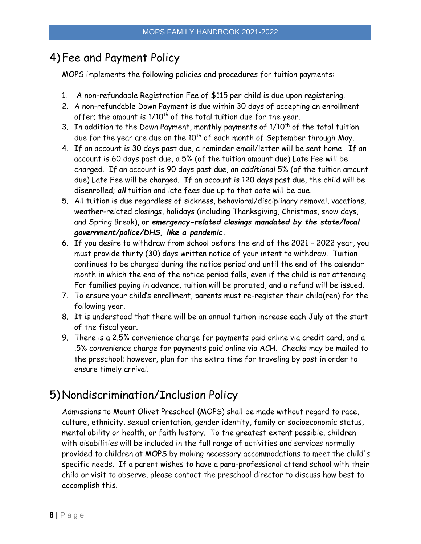#### <span id="page-7-0"></span>4) Fee and Payment Policy

MOPS implements the following policies and procedures for tuition payments:

- 1. A non-refundable Registration Fee of \$115 per child is due upon registering.
- 2. A non-refundable Down Payment is due within 30 days of accepting an enrollment offer; the amount is  $1/10^{th}$  of the total tuition due for the year.
- 3. In addition to the Down Payment, monthly payments of  $1/10^{th}$  of the total tuition due for the year are due on the  $10^{th}$  of each month of September through May.
- 4. If an account is 30 days past due, a reminder email/letter will be sent home. If an account is 60 days past due, a 5% (of the tuition amount due) Late Fee will be charged. If an account is 90 days past due, an *additional* 5% (of the tuition amount due) Late Fee will be charged. If an account is 120 days past due, the child will be disenrolled; *all* tuition and late fees due up to that date will be due.
- 5. All tuition is due regardless of sickness, behavioral/disciplinary removal, vacations, weather-related closings, holidays (including Thanksgiving, Christmas, snow days, and Spring Break), or *emergency-related closings mandated by the state/local government/police/DHS, like a pandemic.*
- 6. If you desire to withdraw from school before the end of the 2021 2022 year, you must provide thirty (30) days written notice of your intent to withdraw. Tuition continues to be charged during the notice period and until the end of the calendar month in which the end of the notice period falls, even if the child is not attending. For families paying in advance, tuition will be prorated, and a refund will be issued.
- 7. To ensure your child's enrollment, parents must re-register their child(ren) for the following year.
- 8. It is understood that there will be an annual tuition increase each July at the start of the fiscal year.
- 9. There is a 2.5% convenience charge for payments paid online via credit card, and a .5% convenience charge for payments paid online via ACH. Checks may be mailed to the preschool; however, plan for the extra time for traveling by post in order to ensure timely arrival.

# <span id="page-7-1"></span>5)Nondiscrimination/Inclusion Policy

Admissions to Mount Olivet Preschool (MOPS) shall be made without regard to race, culture, ethnicity, sexual orientation, gender identity, family or socioeconomic status, mental ability or health, or faith history. To the greatest extent possible, children with disabilities will be included in the full range of activities and services normally provided to children at MOPS by making necessary accommodations to meet the child's specific needs. If a parent wishes to have a para-professional attend school with their child or visit to observe, please contact the preschool director to discuss how best to accomplish this.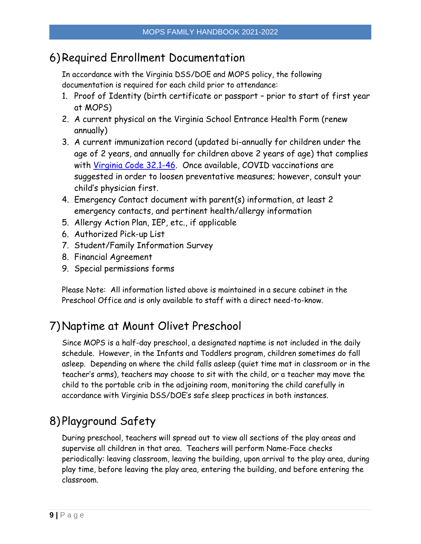#### <span id="page-8-0"></span>6)Required Enrollment Documentation

In accordance with the Virginia DSS/DOE and MOPS policy, the following documentation is required for each child prior to attendance:

- 1. Proof of Identity (birth certificate or passport prior to start of first year at MOPS)
- 2. A current physical on the Virginia School Entrance Health Form (renew annually)
- 3. A current immunization record (updated bi-annually for children under the age of 2 years, and annually for children above 2 years of age) that complies with [Virginia Code 32.1-46.](https://law.lis.virginia.gov/vacode/32.1-46/) Once available, COVID vaccinations are suggested in order to loosen preventative measures; however, consult your child's physician first.
- 4. Emergency Contact document with parent(s) information, at least 2 emergency contacts, and pertinent health/allergy information
- 5. Allergy Action Plan, IEP, etc., if applicable
- 6. Authorized Pick-up List
- 7. Student/Family Information Survey
- 8. Financial Agreement
- 9. Special permissions forms

Please Note: All information listed above is maintained in a secure cabinet in the Preschool Office and is only available to staff with a direct need-to-know.

# <span id="page-8-1"></span>7)Naptime at Mount Olivet Preschool

Since MOPS is a half-day preschool, a designated naptime is not included in the daily schedule. However, in the Infants and Toddlers program, children sometimes do fall asleep. Depending on where the child falls asleep (quiet time mat in classroom or in the teacher's arms), teachers may choose to sit with the child, or a teacher may move the child to the portable crib in the adjoining room, monitoring the child carefully in accordance with Virginia DSS/DOE's safe sleep practices in both instances.

# <span id="page-8-2"></span>8) Playground Safety

During preschool, teachers will spread out to view all sections of the play areas and supervise all children in that area. Teachers will perform Name-Face checks periodically: leaving classroom, leaving the building, upon arrival to the play area, during play time, before leaving the play area, entering the building, and before entering the classroom.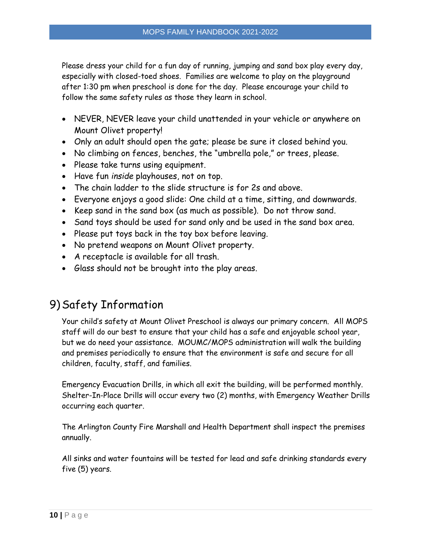Please dress your child for a fun day of running, jumping and sand box play every day, especially with closed-toed shoes. Families are welcome to play on the playground after 1:30 pm when preschool is done for the day. Please encourage your child to follow the same safety rules as those they learn in school.

- NEVER, NEVER leave your child unattended in your vehicle or anywhere on Mount Olivet property!
- Only an adult should open the gate; please be sure it closed behind you.
- No climbing on fences, benches, the "umbrella pole," or trees, please.
- Please take turns using equipment.
- Have fun *inside* playhouses, not on top.
- The chain ladder to the slide structure is for 2s and above.
- Everyone enjoys a good slide: One child at a time, sitting, and downwards.
- Keep sand in the sand box (as much as possible). Do not throw sand.
- Sand toys should be used for sand only and be used in the sand box area.
- Please put toys back in the toy box before leaving.
- No pretend weapons on Mount Olivet property.
- A receptacle is available for all trash.
- Glass should not be brought into the play areas.

# <span id="page-9-0"></span>9)Safety Information

Your child's safety at Mount Olivet Preschool is always our primary concern. All MOPS staff will do our best to ensure that your child has a safe and enjoyable school year, but we do need your assistance. MOUMC/MOPS administration will walk the building and premises periodically to ensure that the environment is safe and secure for all children, faculty, staff, and families.

Emergency Evacuation Drills, in which all exit the building, will be performed monthly. Shelter-In-Place Drills will occur every two (2) months, with Emergency Weather Drills occurring each quarter.

The Arlington County Fire Marshall and Health Department shall inspect the premises annually.

All sinks and water fountains will be tested for lead and safe drinking standards every five (5) years.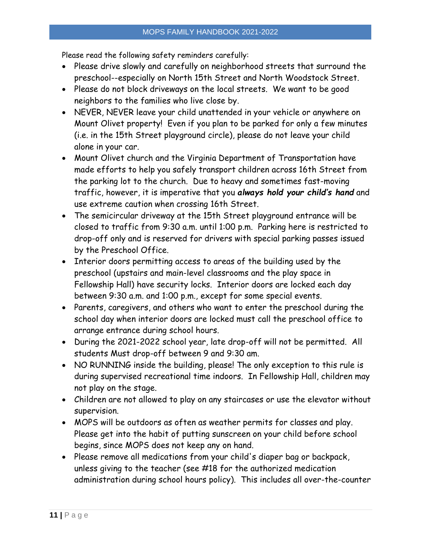Please read the following safety reminders carefully:

- Please drive slowly and carefully on neighborhood streets that surround the preschool--especially on North 15th Street and North Woodstock Street.
- Please do not block driveways on the local streets. We want to be good neighbors to the families who live close by.
- NEVER, NEVER leave your child unattended in your vehicle or anywhere on Mount Olivet property! Even if you plan to be parked for only a few minutes (i.e. in the 15th Street playground circle), please do not leave your child alone in your car.
- Mount Olivet church and the Virginia Department of Transportation have made efforts to help you safely transport children across 16th Street from the parking lot to the church. Due to heavy and sometimes fast-moving traffic, however, it is imperative that you *always hold your child's hand* and use extreme caution when crossing 16th Street.
- The semicircular driveway at the 15th Street playground entrance will be closed to traffic from 9:30 a.m. until 1:00 p.m. Parking here is restricted to drop-off only and is reserved for drivers with special parking passes issued by the Preschool Office.
- Interior doors permitting access to areas of the building used by the preschool (upstairs and main-level classrooms and the play space in Fellowship Hall) have security locks. Interior doors are locked each day between 9:30 a.m. and 1:00 p.m., except for some special events.
- Parents, caregivers, and others who want to enter the preschool during the school day when interior doors are locked must call the preschool office to arrange entrance during school hours.
- During the 2021-2022 school year, late drop-off will not be permitted. All students Must drop-off between 9 and 9:30 am.
- NO RUNNING inside the building, please! The only exception to this rule is during supervised recreational time indoors. In Fellowship Hall, children may not play on the stage.
- Children are not allowed to play on any staircases or use the elevator without supervision.
- MOPS will be outdoors as often as weather permits for classes and play. Please get into the habit of putting sunscreen on your child before school begins, since MOPS does not keep any on hand.
- Please remove all medications from your child's diaper bag or backpack, unless giving to the teacher (see #18 for the authorized medication administration during school hours policy). This includes all over-the-counter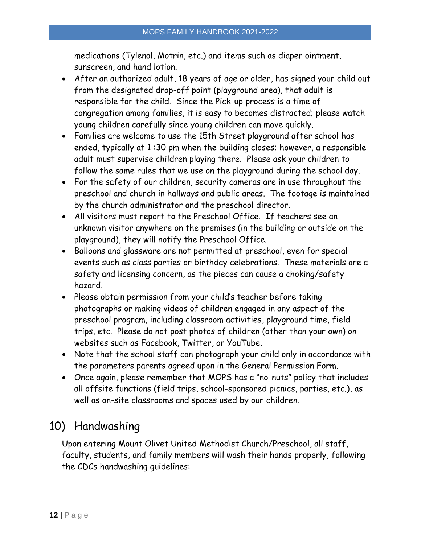medications (Tylenol, Motrin, etc.) and items such as diaper ointment, sunscreen, and hand lotion.

- After an authorized adult, 18 years of age or older, has signed your child out from the designated drop-off point (playground area), that adult is responsible for the child. Since the Pick-up process is a time of congregation among families, it is easy to becomes distracted; please watch young children carefully since young children can move quickly.
- Families are welcome to use the 15th Street playground after school has ended, typically at 1 :30 pm when the building closes; however, a responsible adult must supervise children playing there. Please ask your children to follow the same rules that we use on the playground during the school day.
- For the safety of our children, security cameras are in use throughout the preschool and church in hallways and public areas. The footage is maintained by the church administrator and the preschool director.
- All visitors must report to the Preschool Office. If teachers see an unknown visitor anywhere on the premises (in the building or outside on the playground), they will notify the Preschool Office.
- Balloons and glassware are not permitted at preschool, even for special events such as class parties or birthday celebrations. These materials are a safety and licensing concern, as the pieces can cause a choking/safety hazard.
- Please obtain permission from your child's teacher before taking photographs or making videos of children engaged in any aspect of the preschool program, including classroom activities, playground time, field trips, etc. Please do not post photos of children (other than your own) on websites such as Facebook, Twitter, or YouTube.
- Note that the school staff can photograph your child only in accordance with the parameters parents agreed upon in the General Permission Form.
- Once again, please remember that MOPS has a "no-nuts" policy that includes all offsite functions (field trips, school-sponsored picnics, parties, etc.), as well as on-site classrooms and spaces used by our children.

#### <span id="page-11-0"></span>10) Handwashing

Upon entering Mount Olivet United Methodist Church/Preschool, all staff, faculty, students, and family members will wash their hands properly, following the CDCs handwashing guidelines: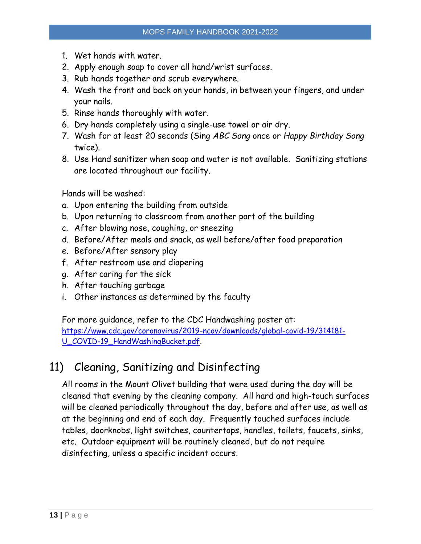- 1. Wet hands with water.
- 2. Apply enough soap to cover all hand/wrist surfaces.
- 3. Rub hands together and scrub everywhere.
- 4. Wash the front and back on your hands, in between your fingers, and under your nails.
- 5. Rinse hands thoroughly with water.
- 6. Dry hands completely using a single-use towel or air dry.
- 7. Wash for at least 20 seconds (Sing *ABC Song* once or *Happy Birthday Song* twice).
- 8. Use Hand sanitizer when soap and water is not available. Sanitizing stations are located throughout our facility.

Hands will be washed:

- a. Upon entering the building from outside
- b. Upon returning to classroom from another part of the building
- c. After blowing nose, coughing, or sneezing
- d. Before/After meals and snack, as well before/after food preparation
- e. Before/After sensory play
- f. After restroom use and diapering
- g. After caring for the sick
- h. After touching garbage
- i. Other instances as determined by the faculty

For more guidance, refer to the CDC Handwashing poster at: [https://www.cdc.gov/coronavirus/2019-ncov/downloads/global-covid-19/314181-](https://www.cdc.gov/coronavirus/2019-ncov/downloads/global-covid-19/314181-U_COVID-19_HandWashingBucket.pdf) [U\\_COVID-19\\_HandWashingBucket.pdf.](https://www.cdc.gov/coronavirus/2019-ncov/downloads/global-covid-19/314181-U_COVID-19_HandWashingBucket.pdf)

#### <span id="page-12-0"></span>11) Cleaning, Sanitizing and Disinfecting

All rooms in the Mount Olivet building that were used during the day will be cleaned that evening by the cleaning company. All hard and high-touch surfaces will be cleaned periodically throughout the day, before and after use, as well as at the beginning and end of each day. Frequently touched surfaces include tables, doorknobs, light switches, countertops, handles, toilets, faucets, sinks, etc. Outdoor equipment will be routinely cleaned, but do not require disinfecting, unless a specific incident occurs.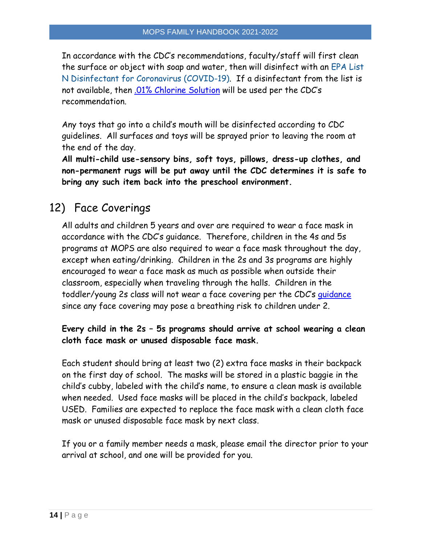In accordance with the CDC's recommendations, faculty/staff will first clean the surface or object with soap and water, then will disinfect with an [EPA](https://www.epa.gov/pesticide-registration/list-n-disinfectants-use-against-sars-cov-2) List N [Disinfectant](https://www.epa.gov/pesticide-registration/list-n-disinfectants-use-against-sars-cov-2) for Coronavirus (COVID-19). If a disinfectant from the list is not available, then [.01% Chlorine Solution](https://www.cdc.gov/coronavirus/2019-ncov/global-covid-19/make-chlorine-solution-non-healthcare-settings.html) will be used per the CDC's recommendation.

Any toys that go into a child's mouth will be disinfected according to CDC guidelines. All surfaces and toys will be sprayed prior to leaving the room at the end of the day.

**All multi-child use-sensory bins, soft toys, pillows, dress-up clothes, and non-permanent rugs will be put away until the CDC determines it is safe to bring any such item back into the preschool environment.**

#### <span id="page-13-0"></span>12) Face Coverings

All adults and children 5 years and over are required to wear a face mask in accordance with the CDC's guidance. Therefore, children in the 4s and 5s programs at MOPS are also required to wear a face mask throughout the day, except when eating/drinking. Children in the 2s and 3s programs are highly encouraged to wear a face mask as much as possible when outside their classroom, especially when traveling through the halls. Children in the toddler/young 2s class will not wear a face covering per the CDC's [guidance](https://www.cdc.gov/coronavirus/2019-ncov/prevent-getting-sick/cloth-face-cover-guidance.html) since any face covering may pose a breathing risk to children under 2.

#### **Every child in the 2s – 5s programs should arrive at school wearing a clean cloth face mask or unused disposable face mask.**

Each student should bring at least two (2) extra face masks in their backpack on the first day of school. The masks will be stored in a plastic baggie in the child's cubby, labeled with the child's name, to ensure a clean mask is available when needed. Used face masks will be placed in the child's backpack, labeled USED. Families are expected to replace the face mask with a clean cloth face mask or unused disposable face mask by next class.

If you or a family member needs a mask, please email the director prior to your arrival at school, and one will be provided for you.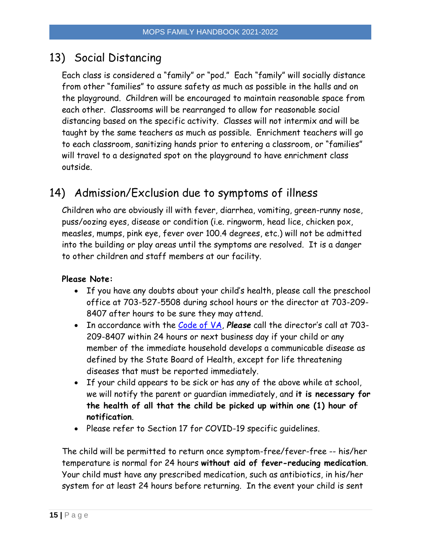#### <span id="page-14-0"></span>13) Social Distancing

Each class is considered a "family" or "pod." Each "family" will socially distance from other "families" to assure safety as much as possible in the halls and on the playground. Children will be encouraged to maintain reasonable space from each other. Classrooms will be rearranged to allow for reasonable social distancing based on the specific activity. Classes will not intermix and will be taught by the same teachers as much as possible. Enrichment teachers will go to each classroom, sanitizing hands prior to entering a classroom, or "families" will travel to a designated spot on the playground to have enrichment class outside.

#### <span id="page-14-1"></span>14) Admission/Exclusion due to symptoms of illness

Children who are obviously ill with fever, diarrhea, vomiting, green-runny nose, puss/oozing eyes, disease or condition (i.e. ringworm, head lice, chicken pox, measles, mumps, pink eye, fever over 100.4 degrees, etc.) will not be admitted into the building or play areas until the symptoms are resolved. It is a danger to other children and staff members at our facility.

#### **Please Note:**

- If you have any doubts about your child's health, please call the preschool office at 703-527-5508 during school hours or the director at 703-209- 8407 after hours to be sure they may attend.
- In accordance with the [Code of VA,](https://law.lis.virginia.gov/admincode/title22/agency40/chapter185/section90/#:~:text=A%20statement%20that%20the%20parent,which%20must%20be%20reported%20immediately.) *Please* call the director's call at 703- 209-8407 within 24 hours or next business day if your child or any member of the immediate household develops a communicable disease as defined by the State Board of Health, except for life threatening diseases that must be reported immediately.
- If your child appears to be sick or has any of the above while at school, we will notify the parent or guardian immediately, and **it is necessary for the health of all that the child be picked up within one (1) hour of notification**.
- Please refer to Section 17 for COVID-19 specific guidelines.

The child will be permitted to return once symptom-free/fever-free -- his/her temperature is normal for 24 hours **without aid of fever-reducing medication**. Your child must have any prescribed medication, such as antibiotics, in his/her system for at least 24 hours before returning. In the event your child is sent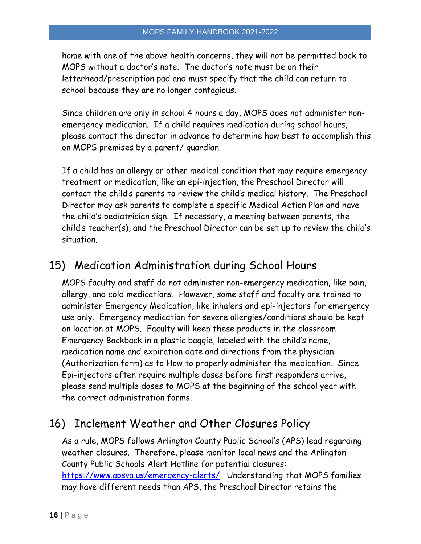home with one of the above health concerns, they will not be permitted back to MOPS without a doctor's note. The doctor's note must be on their letterhead/prescription pad and must specify that the child can return to school because they are no longer contagious.

Since children are only in school 4 hours a day, MOPS does not administer nonemergency medication. If a child requires medication during school hours, please contact the director in advance to determine how best to accomplish this on MOPS premises by a parent/ guardian.

If a child has an allergy or other medical condition that may require emergency treatment or medication, like an epi-injection, the Preschool Director will contact the child's parents to review the child's medical history. The Preschool Director may ask parents to complete a specific Medical Action Plan and have the child's pediatrician sign. If necessary, a meeting between parents, the child's teacher(s), and the Preschool Director can be set up to review the child's situation.

#### <span id="page-15-0"></span>15) Medication Administration during School Hours

MOPS faculty and staff do not administer non-emergency medication, like pain, allergy, and cold medications. However, some staff and faculty are trained to administer Emergency Medication, like inhalers and epi-injectors for emergency use only. Emergency medication for severe allergies/conditions should be kept on location at MOPS. Faculty will keep these products in the classroom Emergency Backback in a plastic baggie, labeled with the child's name, medication name and expiration date and directions from the physician (Authorization form) as to How to properly administer the medication. Since Epi-injectors often require multiple doses before first responders arrive, please send multiple doses to MOPS at the beginning of the school year with the correct administration forms.

### <span id="page-15-1"></span>16) Inclement Weather and Other Closures Policy

As a rule, MOPS follows Arlington County Public School's (APS) lead regarding weather closures. Therefore, please monitor local news and the Arlington County Public Schools Alert Hotline for potential closures: [https://www.apsva.us/emergency-alerts/.](https://www.apsva.us/emergency-alerts/) Understanding that MOPS families may have different needs than APS, the Preschool Director retains the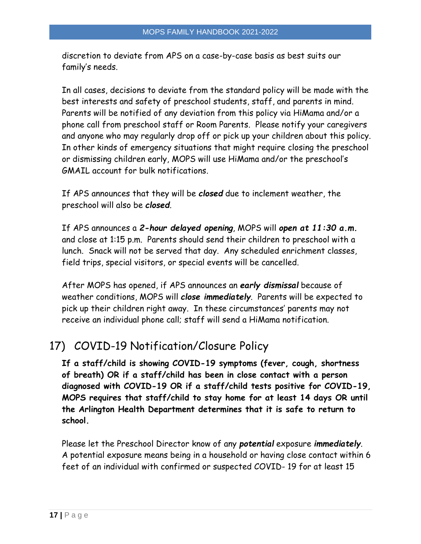discretion to deviate from APS on a case-by-case basis as best suits our family's needs.

In all cases, decisions to deviate from the standard policy will be made with the best interests and safety of preschool students, staff, and parents in mind. Parents will be notified of any deviation from this policy via HiMama and/or a phone call from preschool staff or Room Parents. Please notify your caregivers and anyone who may regularly drop off or pick up your children about this policy. In other kinds of emergency situations that might require closing the preschool or dismissing children early, MOPS will use HiMama and/or the preschool's GMAIL account for bulk notifications.

If APS announces that they will be *closed* due to inclement weather, the preschool will also be *closed*.

If APS announces a *2-hour delayed opening*, MOPS will *open at 11:30 a.m.* and close at 1:15 p.m. Parents should send their children to preschool with a lunch. Snack will not be served that day. Any scheduled enrichment classes, field trips, special visitors, or special events will be cancelled.

After MOPS has opened, if APS announces an *early dismissal* because of weather conditions, MOPS will *close immediately*. Parents will be expected to pick up their children right away. In these circumstances' parents may not receive an individual phone call; staff will send a HiMama notification.

### <span id="page-16-0"></span>17) COVID-19 Notification/Closure Policy

**If a staff/child is showing COVID-19 symptoms (fever, cough, shortness of breath) OR if a staff/child has been in close contact with a person diagnosed with COVID-19 OR if a staff/child tests positive for COVID-19, MOPS requires that staff/child to stay home for at least 14 days OR until the Arlington Health Department determines that it is safe to return to school.**

Please let the Preschool Director know of any *potential* exposure *immediately*. A potential exposure means being in a household or having close contact within 6 feet of an individual with confirmed or suspected COVID- 19 for at least 15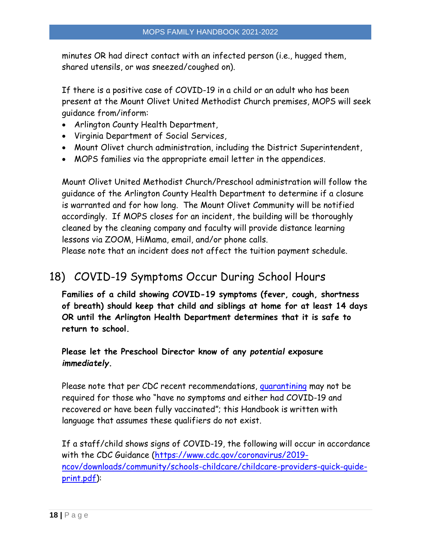minutes OR had direct contact with an infected person (i.e., hugged them, shared utensils, or was sneezed/coughed on).

If there is a positive case of COVID-19 in a child or an adult who has been present at the Mount Olivet United Methodist Church premises, MOPS will seek guidance from/inform:

- Arlington County Health Department,
- Virginia Department of Social Services,
- Mount Olivet church administration, including the District Superintendent,
- MOPS families via the appropriate email letter in the appendices.

Mount Olivet United Methodist Church/Preschool administration will follow the guidance of the Arlington County Health Department to determine if a closure is warranted and for how long. The Mount Olivet Community will be notified accordingly. If MOPS closes for an incident, the building will be thoroughly cleaned by the cleaning company and faculty will provide distance learning lessons via ZOOM, HiMama, email, and/or phone calls.

Please note that an incident does not affect the tuition payment schedule.

#### <span id="page-17-0"></span>18) COVID-19 Symptoms Occur During School Hours

**Families of a child showing COVID-19 symptoms (fever, cough, shortness of breath) should keep that child and siblings at home for at least 14 days OR until the Arlington Health Department determines that it is safe to return to school.**

#### **Please let the Preschool Director know of any** *potential* **exposure**  *immediately***.**

Please note that per CDC recent recommendations, [quarantining](https://www.dss.virginia.gov/files/division/licensing/recdc/intro_page/current_providers/notices/quarantine_updates_for_certain_individuals.pdf) may not be required for those who "have no symptoms and either had COVID-19 and recovered or have been fully vaccinated"; this Handbook is written with language that assumes these qualifiers do not exist.

If a staff/child shows signs of COVID-19, the following will occur in accordance with the CDC Guidance [\(https://www.cdc.gov/coronavirus/2019](https://www.cdc.gov/coronavirus/2019-ncov/downloads/community/schools-childcare/childcare-providers-quick-guide-print.pdf) [ncov/downloads/community/schools-childcare/childcare-providers-quick-guide](https://www.cdc.gov/coronavirus/2019-ncov/downloads/community/schools-childcare/childcare-providers-quick-guide-print.pdf)[print.pdf\)](https://www.cdc.gov/coronavirus/2019-ncov/downloads/community/schools-childcare/childcare-providers-quick-guide-print.pdf):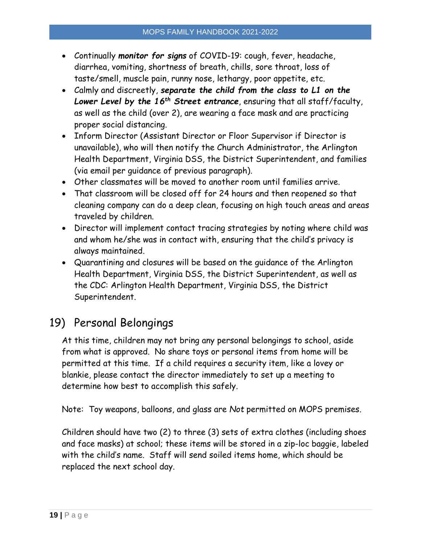- Continually *monitor for signs* of COVID-19: cough, fever, headache, diarrhea, vomiting, shortness of breath, chills, sore throat, loss of taste/smell, muscle pain, runny nose, lethargy, poor appetite, etc.
- Calmly and discreetly, *separate the child from the class to L1 on the Lower Level by the 16th Street entrance*, ensuring that all staff/faculty, as well as the child (over 2), are wearing a face mask and are practicing proper social distancing.
- Inform Director (Assistant Director or Floor Supervisor if Director is unavailable), who will then notify the Church Administrator, the Arlington Health Department, Virginia DSS, the District Superintendent, and families (via email per guidance of previous paragraph).
- Other classmates will be moved to another room until families arrive.
- That classroom will be closed off for 24 hours and then reopened so that cleaning company can do a deep clean, focusing on high touch areas and areas traveled by children.
- Director will implement contact tracing strategies by noting where child was and whom he/she was in contact with, ensuring that the child's privacy is always maintained.
- Quarantining and closures will be based on the guidance of the Arlington Health Department, Virginia DSS, the District Superintendent, as well as the CDC: Arlington Health Department, Virginia DSS, the District Superintendent.

#### <span id="page-18-0"></span>19) Personal Belongings

At this time, children may not bring any personal belongings to school, aside from what is approved. No share toys or personal items from home will be permitted at this time. If a child requires a security item, like a lovey or blankie, please contact the director immediately to set up a meeting to determine how best to accomplish this safely.

Note: Toy weapons, balloons, and glass are *Not* permitted on MOPS premises.

Children should have two (2) to three (3) sets of extra clothes (including shoes and face masks) at school; these items will be stored in a zip-loc baggie, labeled with the child's name. Staff will send soiled items home, which should be replaced the next school day.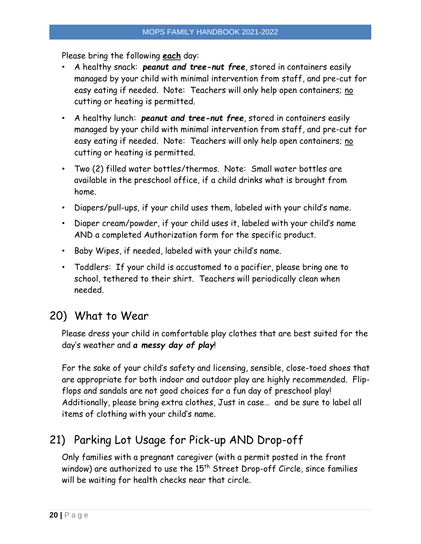Please bring the following **each** day:

- A healthy snack: *peanut and tree-nut free*, stored in containers easily managed by your child with minimal intervention from staff, and pre-cut for easy eating if needed. Note: Teachers will only help open containers; no cutting or heating is permitted.
- A healthy lunch: *peanut and tree-nut free*, stored in containers easily managed by your child with minimal intervention from staff, and pre-cut for easy eating if needed. Note: Teachers will only help open containers; no cutting or heating is permitted.
- Two (2) filled water bottles/thermos. Note: Small water bottles are available in the preschool office, if a child drinks what is brought from home.
- Diapers/pull-ups, if your child uses them, labeled with your child's name.
- Diaper cream/powder, if your child uses it, labeled with your child's name AND a completed Authorization form for the specific product.
- Baby Wipes, if needed, labeled with your child's name.
- Toddlers: If your child is accustomed to a pacifier, please bring one to school, tethered to their shirt. Teachers will periodically clean when needed.

#### <span id="page-19-0"></span>20) What to Wear

Please dress your child in comfortable play clothes that are best suited for the day's weather and *a messy day of play*!

For the sake of your child's safety and licensing, sensible, close-toed shoes that are appropriate for both indoor and outdoor play are highly recommended. Flipflops and sandals are not good choices for a fun day of preschool play! Additionally, please bring extra clothes, Just in case… and be sure to label all items of clothing with your child's name.

#### <span id="page-19-1"></span>21) Parking Lot Usage for Pick-up AND Drop-off

Only families with a pregnant caregiver (with a permit posted in the front window) are authorized to use the 15<sup>th</sup> Street Drop-off Circle, since families will be waiting for health checks near that circle.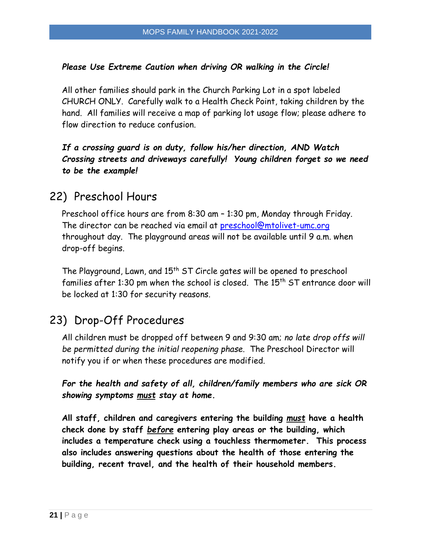#### *Please Use Extreme Caution when driving OR walking in the Circle!*

All other families should park in the Church Parking Lot in a spot labeled CHURCH ONLY. Carefully walk to a Health Check Point, taking children by the hand. All families will receive a map of parking lot usage flow; please adhere to flow direction to reduce confusion.

*If a crossing guard is on duty, follow his/her direction, AND Watch Crossing streets and driveways carefully! Young children forget so we need to be the example!*

#### <span id="page-20-0"></span>22) Preschool Hours

Preschool office hours are from 8:30 am – 1:30 pm, Monday through Friday. The director can be reached via email at [preschool@mtolivet-umc.org](mailto:preschool@mtolivet-umc.org) throughout day. The playground areas will not be available until 9 a.m. when drop-off begins.

The Playground, Lawn, and 15<sup>th</sup> ST Circle gates will be opened to preschool families after 1:30 pm when the school is closed. The  $15<sup>th</sup>$  ST entrance door will be locked at 1:30 for security reasons.

### <span id="page-20-1"></span>23) Drop-Off Procedures

All children must be dropped off between 9 and 9:30 am; *no late drop offs will be permitted during the initial reopening phase*. The Preschool Director will notify you if or when these procedures are modified.

*For the health and safety of all, children/family members who are sick OR showing symptoms must stay at home.*

**All staff, children and caregivers entering the building** *must* **have a health check done by staff** *before* **entering play areas or the building, which includes a temperature check using a touchless thermometer. This process also includes answering questions about the health of those entering the building, recent travel, and the health of their household members.**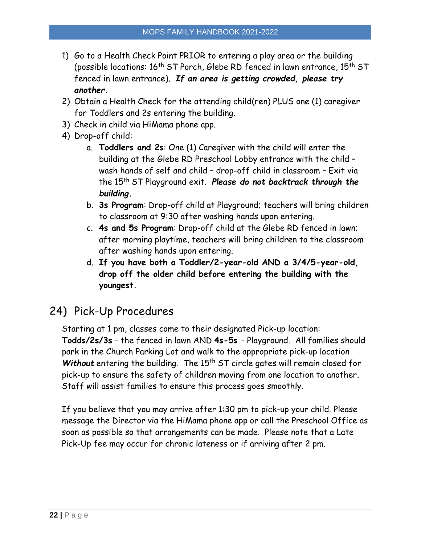- 1) Go to a Health Check Point PRIOR to entering a play area or the building (possible locations:  $16^{th}$  ST Porch, Glebe RD fenced in lawn entrance,  $15^{th}$  ST fenced in lawn entrance). *If an area is getting crowded, please try another.*
- 2) Obtain a Health Check for the attending child(ren) PLUS one (1) caregiver for Toddlers and 2s entering the building.
- 3) Check in child via HiMama phone app.
- 4) Drop-off child:
	- a. **Toddlers and 2s**: One (1) Caregiver with the child will enter the building at the Glebe RD Preschool Lobby entrance with the child – wash hands of self and child – drop-off child in classroom – Exit via the 15th ST Playground exit. *Please do not backtrack through the building.*
	- b. **3s Program**: Drop-off child at Playground; teachers will bring children to classroom at 9:30 after washing hands upon entering.
	- c. **4s and 5s Program**: Drop-off child at the Glebe RD fenced in lawn; after morning playtime, teachers will bring children to the classroom after washing hands upon entering.
	- d. **If you have both a Toddler/2-year-old AND a 3/4/5-year-old, drop off the older child before entering the building with the youngest.**

#### <span id="page-21-0"></span>24) Pick-Up Procedures

Starting at 1 pm, classes come to their designated Pick-up location: **Todds/2s/3s** - the fenced in lawn AND **4s-5s** - Playground. All families should park in the Church Parking Lot and walk to the appropriate pick-up location *Without* entering the building. The 15<sup>th</sup> ST circle gates will remain closed for pick-up to ensure the safety of children moving from one location to another. Staff will assist families to ensure this process goes smoothly.

If you believe that you may arrive after 1:30 pm to pick-up your child. Please message the Director via the HiMama phone app or call the Preschool Office as soon as possible so that arrangements can be made. Please note that a Late Pick-Up fee may occur for chronic lateness or if arriving after 2 pm.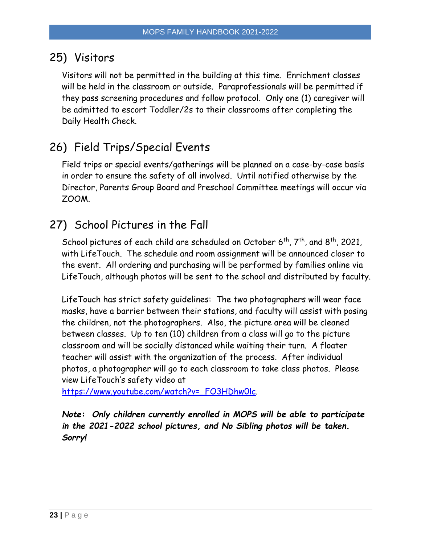#### <span id="page-22-0"></span>25) Visitors

Visitors will not be permitted in the building at this time. Enrichment classes will be held in the classroom or outside. Paraprofessionals will be permitted if they pass screening procedures and follow protocol. Only one (1) caregiver will be admitted to escort Toddler/2s to their classrooms after completing the Daily Health Check.

# <span id="page-22-1"></span>26) Field Trips/Special Events

Field trips or special events/gatherings will be planned on a case-by-case basis in order to ensure the safety of all involved. Until notified otherwise by the Director, Parents Group Board and Preschool Committee meetings will occur via ZOOM.

#### <span id="page-22-2"></span>27) School Pictures in the Fall

School pictures of each child are scheduled on October  $6^{th}$ ,  $7^{th}$ , and  $8^{th}$ , 2021, with LifeTouch. The schedule and room assignment will be announced closer to the event. All ordering and purchasing will be performed by families online via LifeTouch, although photos will be sent to the school and distributed by faculty.

LifeTouch has strict safety guidelines: The two photographers will wear face masks, have a barrier between their stations, and faculty will assist with posing the children, not the photographers. Also, the picture area will be cleaned between classes. Up to ten (10) children from a class will go to the picture classroom and will be socially distanced while waiting their turn. A floater teacher will assist with the organization of the process. After individual photos, a photographer will go to each classroom to take class photos. Please view LifeTouch's safety video at

[https://www.youtube.com/watch?v=\\_FO3HDhw0lc.](https://www.youtube.com/watch?v=_FO3HDhw0lc)

*Note: Only children currently enrolled in MOPS will be able to participate in the 2021-2022 school pictures, and No Sibling photos will be taken. Sorry!*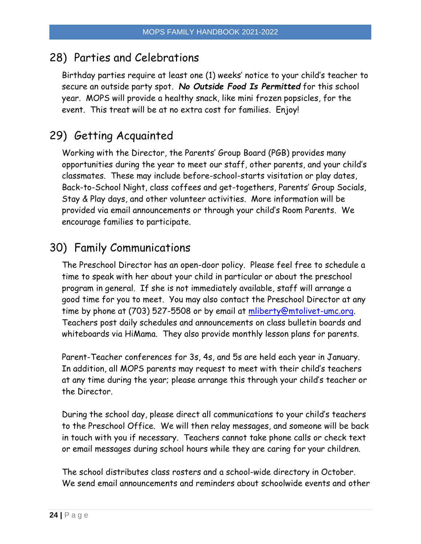#### <span id="page-23-0"></span>28) Parties and Celebrations

Birthday parties require at least one (1) weeks' notice to your child's teacher to secure an outside party spot. *No Outside Food Is Permitted* for this school year. MOPS will provide a healthy snack, like mini frozen popsicles, for the event. This treat will be at no extra cost for families. Enjoy!

#### <span id="page-23-1"></span>29) Getting Acquainted

Working with the Director, the Parents' Group Board (PGB) provides many opportunities during the year to meet our staff, other parents, and your child's classmates. These may include before-school-starts visitation or play dates, Back-to-School Night, class coffees and get-togethers, Parents' Group Socials, Stay & Play days, and other volunteer activities. More information will be provided via email announcements or through your child's Room Parents. We encourage families to participate.

#### <span id="page-23-2"></span>30) Family Communications

The Preschool Director has an open-door policy. Please feel free to schedule a time to speak with her about your child in particular or about the preschool program in general. If she is not immediately available, staff will arrange a good time for you to meet. You may also contact the Preschool Director at any time by phone at (703) 527-5508 or by email at [mliberty@mtolivet-umc.org.](mailto:mliberty@mtolivet-umc.org) Teachers post daily schedules and announcements on class bulletin boards and whiteboards via HiMama. They also provide monthly lesson plans for parents.

Parent-Teacher conferences for 3s, 4s, and 5s are held each year in January. In addition, all MOPS parents may request to meet with their child's teachers at any time during the year; please arrange this through your child's teacher or the Director.

During the school day, please direct all communications to your child's teachers to the Preschool Office. We will then relay messages, and someone will be back in touch with you if necessary. Teachers cannot take phone calls or check text or email messages during school hours while they are caring for your children.

The school distributes class rosters and a school-wide directory in October. We send email announcements and reminders about schoolwide events and other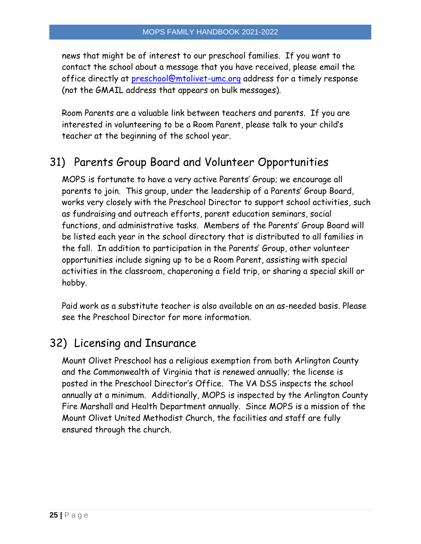news that might be of interest to our preschool families. If you want to contact the school about a message that you have received, please email the office directly at **preschool@mtolivet-umc.org** address for a timely response (not the GMAIL address that appears on bulk messages).

Room Parents are a valuable link between teachers and parents. If you are interested in volunteering to be a Room Parent, please talk to your child's teacher at the beginning of the school year.

#### <span id="page-24-0"></span>31) Parents Group Board and Volunteer Opportunities

MOPS is fortunate to have a very active Parents' Group; we encourage all parents to join. This group, under the leadership of a Parents' Group Board, works very closely with the Preschool Director to support school activities, such as fundraising and outreach efforts, parent education seminars, social functions, and administrative tasks. Members of the Parents' Group Board will be listed each year in the school directory that is distributed to all families in the fall. In addition to participation in the Parents' Group, other volunteer opportunities include signing up to be a Room Parent, assisting with special activities in the classroom, chaperoning a field trip, or sharing a special skill or hobby.

Paid work as a substitute teacher is also available on an as-needed basis. Please see the Preschool Director for more information.

#### <span id="page-24-1"></span>32) Licensing and Insurance

Mount Olivet Preschool has a religious exemption from both Arlington County and the Commonwealth of Virginia that is renewed annually; the license is posted in the Preschool Director's Office. The VA DSS inspects the school annually at a minimum. Additionally, MOPS is inspected by the Arlington County Fire Marshall and Health Department annually. Since MOPS is a mission of the Mount Olivet United Methodist Church, the facilities and staff are fully ensured through the church.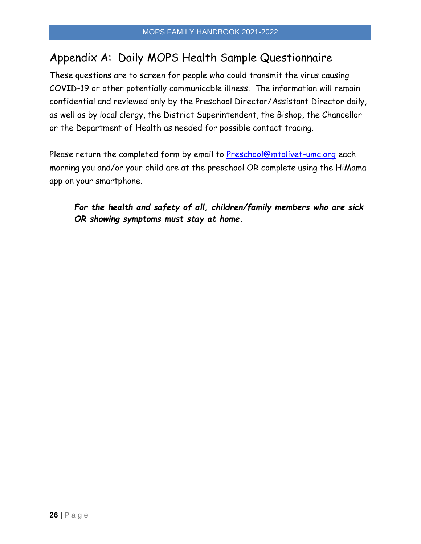#### <span id="page-25-0"></span>Appendix A: Daily MOPS Health Sample Questionnaire

These questions are to screen for people who could transmit the virus causing COVID-19 or other potentially communicable illness. The information will remain confidential and reviewed only by the Preschool Director/Assistant Director daily, as well as by local clergy, the District Superintendent, the Bishop, the Chancellor or the Department of Health as needed for possible contact tracing.

Please return the completed form by email to **Preschool@mtolivet-umc.org** each morning you and/or your child are at the preschool OR complete using the HiMama app on your smartphone.

*For the health and safety of all, children/family members who are sick OR showing symptoms must stay at home.*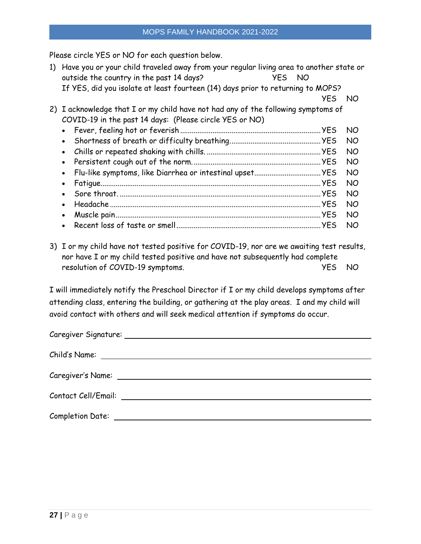Please circle YES or NO for each question below.

| 1) | Have you or your child traveled away from your regular living area to another state or<br>outside the country in the past 14 days?<br>YES NO<br>If YES, did you isolate at least fourteen (14) days prior to returning to MOPS? |        |
|----|---------------------------------------------------------------------------------------------------------------------------------------------------------------------------------------------------------------------------------|--------|
|    |                                                                                                                                                                                                                                 | YES NO |
|    | 2) I acknowledge that I or my child have not had any of the following symptoms of                                                                                                                                               |        |
|    | COVID-19 in the past 14 days: (Please circle YES or NO)                                                                                                                                                                         |        |
|    | $\bullet$                                                                                                                                                                                                                       | NO.    |
|    | $\bullet$                                                                                                                                                                                                                       | NO     |
|    | $\bullet$                                                                                                                                                                                                                       | NO     |
|    | $\bullet$                                                                                                                                                                                                                       | NO.    |
|    | $\bullet$                                                                                                                                                                                                                       | NO.    |
|    | $\bullet$                                                                                                                                                                                                                       | NO     |
|    | $\bullet$                                                                                                                                                                                                                       | NO     |
|    | $\bullet$                                                                                                                                                                                                                       | NO     |
|    | $\bullet$                                                                                                                                                                                                                       | NO.    |
|    | $\bullet$                                                                                                                                                                                                                       | NO.    |
|    |                                                                                                                                                                                                                                 |        |

3) I or my child have not tested positive for COVID-19, nor are we awaiting test results, nor have I or my child tested positive and have not subsequently had complete resolution of COVID-19 symptoms. The state of the SNC version of COVID-19 symptoms.

I will immediately notify the Preschool Director if I or my child develops symptoms after attending class, entering the building, or gathering at the play areas. I and my child will avoid contact with others and will seek medical attention if symptoms do occur.

| Completion Date: |  |
|------------------|--|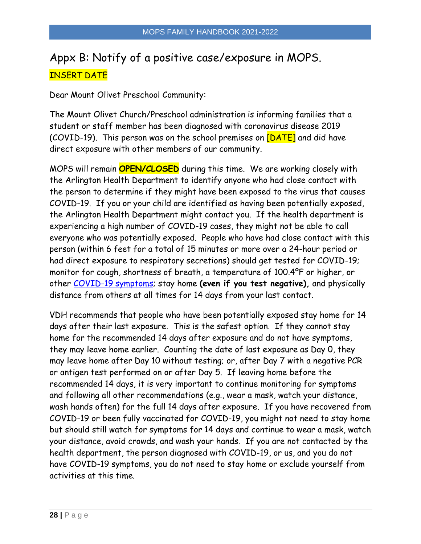# <span id="page-27-0"></span>Appx B: Notify of a positive case/exposure in MOPS. INSERT DATE

Dear Mount Olivet Preschool Community:

The Mount Olivet Church/Preschool administration is informing families that a student or staff member has been diagnosed with coronavirus disease 2019 (COVID-19). This person was on the school premises on [DATE] and did have direct exposure with other members of our community.

MOPS will remain **OPEN/CLOSED** during this time. We are working closely with the Arlington Health Department to identify anyone who had close contact with the person to determine if they might have been exposed to the virus that causes COVID-19. If you or your child are identified as having been potentially exposed, the Arlington Health Department might contact you. If the health department is experiencing a high number of COVID-19 cases, they might not be able to call everyone who was potentially exposed. People who have had close contact with this person (within 6 feet for a total of 15 minutes or more over a 24-hour period or had direct exposure to respiratory secretions) should get tested for COVID-19; monitor for cough, shortness of breath, a temperature of 100.4ºF or higher, or other [COVID-19 symptoms;](https://www.cdc.gov/coronavirus/2019-ncov/symptoms-testing/symptoms.html) stay home **(even if you test negative),** and physically distance from others at all times for 14 days from your last contact.

VDH recommends that people who have been potentially exposed stay home for 14 days after their last exposure. This is the safest option. If they cannot stay home for the recommended 14 days after exposure and do not have symptoms, they may leave home earlier. Counting the date of last exposure as Day 0, they may leave home after Day 10 without testing; or, after Day 7 with a negative PCR or antigen test performed on or after Day 5. If leaving home before the recommended 14 days, it is very important to continue monitoring for symptoms and following all other recommendations (e.g., wear a mask, watch your distance, wash hands often) for the full 14 days after exposure. If you have recovered from COVID-19 or been fully vaccinated for COVID-19, you might not need to stay home but should still watch for symptoms for 14 days and continue to wear a mask, watch your distance, avoid crowds, and wash your hands. If you are not contacted by the health department, the person diagnosed with COVID-19, or us, and you do not have COVID-19 symptoms, you do not need to stay home or exclude yourself from activities at this time.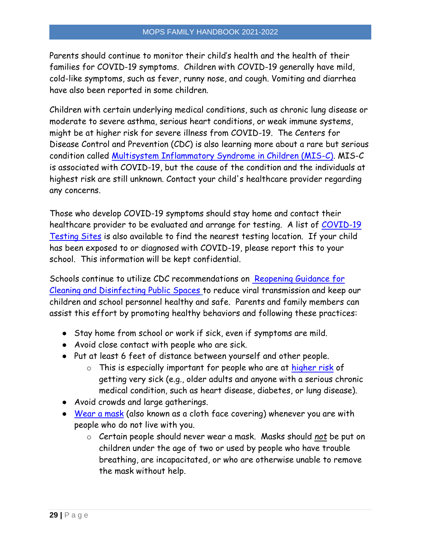Parents should continue to monitor their child's health and the health of their families for COVID-19 symptoms. Children with COVID-19 generally have mild, cold-like symptoms, such as fever, runny nose, and cough. Vomiting and diarrhea have also been reported in some children.

Children with certain underlying medical conditions, such as chronic lung disease or moderate to severe asthma, serious heart conditions, or weak immune systems, might be at higher risk for severe illness from COVID-19. The Centers for Disease Control and Prevention (CDC) is also learning more about a rare but serious condition called [Multisystem Inflammatory Syndrome in Children \(MIS-C\).](https://www.cdc.gov/coronavirus/2019-ncov/daily-life-coping/children/mis-c.html) MIS-C is associated with COVID-19, but the cause of the condition and the individuals at highest risk are still unknown. Contact your child's healthcare provider regarding any concerns.

Those who develop COVID-19 symptoms should stay home and contact their healthcare provider to be evaluated and arrange for testing. A list of [COVID-19](https://www.vdh.virginia.gov/coronavirus/covid-19-testing/covid-19-testing-sites/)  [Testing Sites](https://www.vdh.virginia.gov/coronavirus/covid-19-testing/covid-19-testing-sites/) is also available to find the nearest testing location. If your child has been exposed to or diagnosed with COVID-19, please report this to your school. This information will be kept confidential.

Schools continue to utilize CDC recommendations on [Reopening Guidance for](https://www.cdc.gov/coronavirus/2019-ncov/community/reopen-guidance.html)  [Cleaning and Disinfecting Public Spaces](https://www.cdc.gov/coronavirus/2019-ncov/community/reopen-guidance.html) to reduce viral transmission and keep our children and school personnel healthy and safe. Parents and family members can assist this effort by promoting healthy behaviors and following these practices:

- Stay home from school or work if sick, even if symptoms are mild.
- Avoid close contact with people who are sick.
- Put at least 6 feet of distance between yourself and other people.
	- $\circ$  This is especially important for people who are at [higher risk](https://www.cdc.gov/coronavirus/2019-ncov/need-extra-precautions/index.html) of getting very sick (e.g., older adults and anyone with a serious chronic medical condition, such as heart disease, diabetes, or lung disease).
- Avoid crowds and large gatherings.
- [Wear a mask](https://www.vdh.virginia.gov/coronavirus/cloth-face-covers/#mask-tips) (also known as a cloth face covering) whenever you are with people who do not live with you.
	- o Certain people should never wear a mask. Masks should *not* be put on children under the age of two or used by people who have trouble breathing, are incapacitated, or who are otherwise unable to remove the mask without help.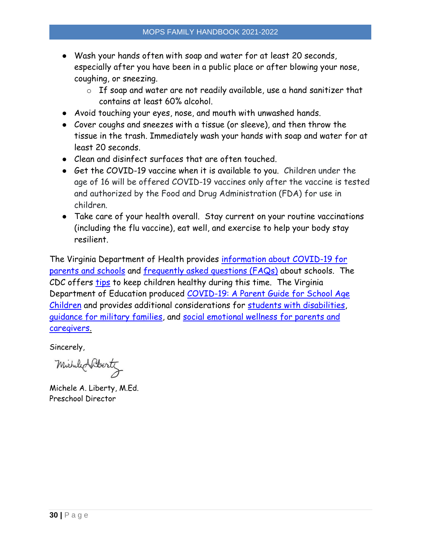- Wash your hands often with soap and water for at least 20 seconds, especially after you have been in a public place or after blowing your nose, coughing, or sneezing.
	- o If soap and water are not readily available, use a hand sanitizer that contains at least 60% alcohol.
- Avoid touching your eyes, nose, and mouth with unwashed hands.
- Cover coughs and sneezes with a tissue (or sleeve), and then throw the tissue in the trash. Immediately wash your hands with soap and water for at least 20 seconds.
- Clean and disinfect surfaces that are often touched.
- Get the COVID-19 vaccine when it is available to you. Children under the age of 16 will be offered COVID-19 vaccines only after the vaccine is tested and authorized by the Food and Drug Administration (FDA) for use in children.
- Take care of your health overall. Stay current on your routine vaccinations (including the flu vaccine), eat well, and exercise to help your body stay resilient.

The Virginia Department of Health provides [information about COVID-19 for](https://www.vdh.virginia.gov/coronavirus/schools-workplaces-community-locations/k-12-education/)  [parents and schools](https://www.vdh.virginia.gov/coronavirus/schools-workplaces-community-locations/k-12-education/) and [frequently asked questions \(FAQs\)](https://www.vdh.virginia.gov/covid-19-faq/) about schools. The CDC offers [tips](https://www.cdc.gov/coronavirus/2019-ncov/daily-life-coping/children.html) to keep children healthy during this time. The Virginia Department of Education produced [COVID-19: A Parent Guide for School Age](http://www.doe.virginia.gov/support/health_medical/office/covid-19-parent-guide.shtml)  [Children](http://www.doe.virginia.gov/support/health_medical/office/covid-19-parent-guide.shtml) and provides additional considerations for [students with disabilities,](http://www.doe.virginia.gov/support/health_medical/covid-19/students-with-disabilities-covid-guide.pdf) [guidance for military families,](http://www.doe.virginia.gov/support/student_family/military/resources/covid-19-guidance-related-to-military-families.docx) and [social emotional wellness for parents and](http://www.doe.virginia.gov/support/prevention/quick-guide-se-wellness-parents.pdf)  [caregivers.](http://www.doe.virginia.gov/support/prevention/quick-guide-se-wellness-parents.pdf)

Sincerely,

Michele Alberty

Michele A. Liberty, M.Ed. Preschool Director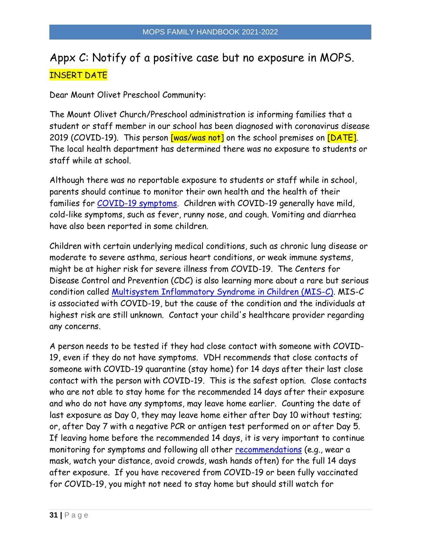# <span id="page-30-0"></span>Appx C: Notify of a positive case but no exposure in MOPS. INSERT DATE

Dear Mount Olivet Preschool Community:

The Mount Olivet Church/Preschool administration is informing families that a student or staff member in our school has been diagnosed with coronavirus disease 2019 (COVID-19). This person *[was/was not]* on the school premises on *[DATE]*. The local health department has determined there was no exposure to students or staff while at school.

Although there was no reportable exposure to students or staff while in school, parents should continue to monitor their own health and the health of their families for [COVID-19 symptoms.](https://www.cdc.gov/coronavirus/2019-ncov/symptoms-testing/symptoms.html) Children with COVID-19 generally have mild, cold-like symptoms, such as fever, runny nose, and cough. Vomiting and diarrhea have also been reported in some children.

Children with certain underlying medical conditions, such as chronic lung disease or moderate to severe asthma, serious heart conditions, or weak immune systems, might be at higher risk for severe illness from COVID-19. The Centers for Disease Control and Prevention (CDC) is also learning more about a rare but serious condition called [Multisystem Inflammatory Syndrome in Children \(MIS-C\).](https://www.cdc.gov/coronavirus/2019-ncov/daily-life-coping/children/mis-c.html) MIS-C is associated with COVID-19, but the cause of the condition and the individuals at highest risk are still unknown. Contact your child's healthcare provider regarding any concerns.

A person needs to be tested if they had close contact with someone with COVID-19, even if they do not have symptoms. VDH recommends that close contacts of someone with COVID-19 quarantine (stay home) for 14 days after their last close contact with the person with COVID-19. This is the safest option. Close contacts who are not able to stay home for the recommended 14 days after their exposure and who do not have any symptoms, may leave home earlier. Counting the date of last exposure as Day 0, they may leave home either after Day 10 without testing; or, after Day 7 with a negative PCR or antigen test performed on or after Day 5. If leaving home before the recommended 14 days, it is very important to continue monitoring for symptoms and following all other [recommendations](https://www.vdh.virginia.gov/coronavirus/local-exposure/) (e.g., wear a mask, watch your distance, avoid crowds, wash hands often) for the full 14 days after exposure. If you have recovered from COVID-19 or been fully vaccinated for COVID-19, you might not need to stay home but should still watch for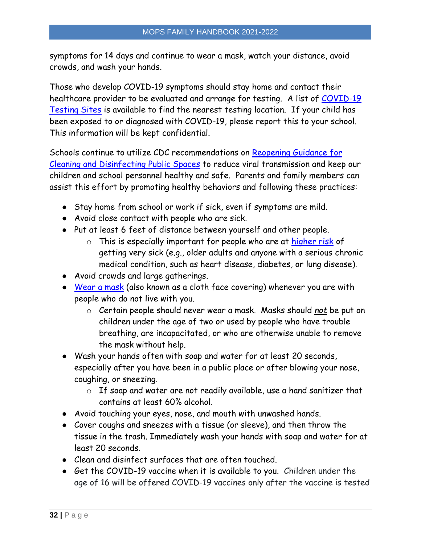symptoms for 14 days and continue to wear a mask, watch your distance, avoid crowds, and wash your hands.

Those who develop COVID-19 symptoms should stay home and contact their healthcare provider to be evaluated and arrange for testing. A list of [COVID-19](https://www.vdh.virginia.gov/coronavirus/covid-19-testing/covid-19-testing-sites/)  [Testing Sites](https://www.vdh.virginia.gov/coronavirus/covid-19-testing/covid-19-testing-sites/) is available to find the nearest testing location. If your child has been exposed to or diagnosed with COVID-19, please report this to your school. This information will be kept confidential.

Schools continue to utilize CDC recommendations on [Reopening Guidance for](https://www.cdc.gov/coronavirus/2019-ncov/community/reopen-guidance.html)  [Cleaning and Disinfecting Public Spaces](https://www.cdc.gov/coronavirus/2019-ncov/community/reopen-guidance.html) to reduce viral transmission and keep our children and school personnel healthy and safe. Parents and family members can assist this effort by promoting healthy behaviors and following these practices:

- Stay home from school or work if sick, even if symptoms are mild.
- Avoid close contact with people who are sick.
- Put at least 6 feet of distance between yourself and other people.
	- o This is especially important for people who are at [higher risk](https://www.cdc.gov/coronavirus/2019-ncov/need-extra-precautions/index.html) of getting very sick (e.g., older adults and anyone with a serious chronic medical condition, such as heart disease, diabetes, or lung disease).
- Avoid crowds and large gatherings.
- [Wear a mask](https://www.vdh.virginia.gov/coronavirus/cloth-face-covers/#mask-tips) (also known as a cloth face covering) whenever you are with people who do not live with you.
	- o Certain people should never wear a mask. Masks should *not* be put on children under the age of two or used by people who have trouble breathing, are incapacitated, or who are otherwise unable to remove the mask without help.
- Wash your hands often with soap and water for at least 20 seconds, especially after you have been in a public place or after blowing your nose, coughing, or sneezing.
	- o If soap and water are not readily available, use a hand sanitizer that contains at least 60% alcohol.
- Avoid touching your eyes, nose, and mouth with unwashed hands.
- Cover coughs and sneezes with a tissue (or sleeve), and then throw the tissue in the trash. Immediately wash your hands with soap and water for at least 20 seconds.
- Clean and disinfect surfaces that are often touched.
- Get the COVID-19 vaccine when it is available to you. Children under the age of 16 will be offered COVID-19 vaccines only after the vaccine is tested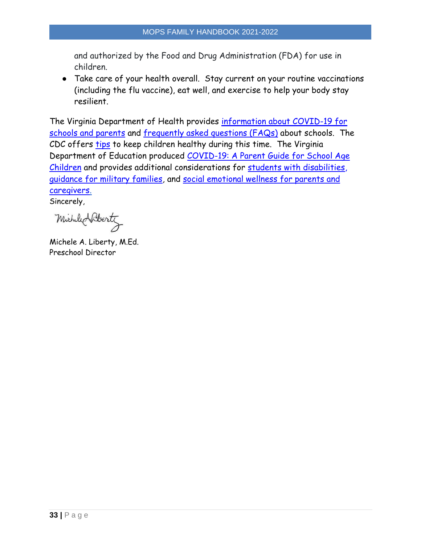and authorized by the Food and Drug Administration (FDA) for use in children.

● Take care of your health overall. Stay current on your routine vaccinations (including the flu vaccine), eat well, and exercise to help your body stay resilient.

The Virginia Department of Health provides [information about COVID-19 for](https://www.vdh.virginia.gov/coronavirus/schools-workplaces-community-locations/k-12-education/)  [schools and parents](https://www.vdh.virginia.gov/coronavirus/schools-workplaces-community-locations/k-12-education/) and [frequently asked questions \(FAQs\)](https://www.vdh.virginia.gov/covid-19-faq/) about schools. The CDC offers [tips](https://www.cdc.gov/coronavirus/2019-ncov/daily-life-coping/children.html) to keep children healthy during this time. The Virginia Department of Education produced [COVID-19: A Parent Guide for School Age](http://www.doe.virginia.gov/support/health_medical/office/covid-19-parent-guide.shtml)  [Children](http://www.doe.virginia.gov/support/health_medical/office/covid-19-parent-guide.shtml) and provides additional considerations for [students with disabilities,](http://www.doe.virginia.gov/support/health_medical/covid-19/students-with-disabilities-covid-guide.pdf) [guidance for military families,](http://www.doe.virginia.gov/support/student_family/military/resources/covid-19-guidance-related-to-military-families.docx) and [social emotional wellness for parents and](http://www.doe.virginia.gov/support/prevention/quick-guide-se-wellness-parents.pdf)  [caregivers.](http://www.doe.virginia.gov/support/prevention/quick-guide-se-wellness-parents.pdf)

Sincerely,

Michele Alberty

Michele A. Liberty, M.Ed. Preschool Director